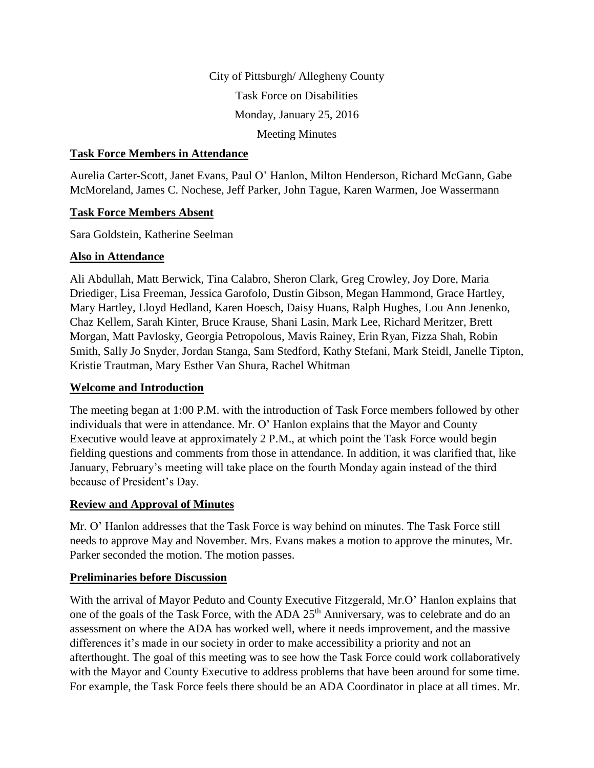City of Pittsburgh/ Allegheny County Task Force on Disabilities Monday, January 25, 2016 Meeting Minutes

#### **Task Force Members in Attendance**

Aurelia Carter-Scott, Janet Evans, Paul O' Hanlon, Milton Henderson, Richard McGann, Gabe McMoreland, James C. Nochese, Jeff Parker, John Tague, Karen Warmen, Joe Wassermann

#### **Task Force Members Absent**

Sara Goldstein, Katherine Seelman

#### **Also in Attendance**

Ali Abdullah, Matt Berwick, Tina Calabro, Sheron Clark, Greg Crowley, Joy Dore, Maria Driediger, Lisa Freeman, Jessica Garofolo, Dustin Gibson, Megan Hammond, Grace Hartley, Mary Hartley, Lloyd Hedland, Karen Hoesch, Daisy Huans, Ralph Hughes, Lou Ann Jenenko, Chaz Kellem, Sarah Kinter, Bruce Krause, Shani Lasin, Mark Lee, Richard Meritzer, Brett Morgan, Matt Pavlosky, Georgia Petropolous, Mavis Rainey, Erin Ryan, Fizza Shah, Robin Smith, Sally Jo Snyder, Jordan Stanga, Sam Stedford, Kathy Stefani, Mark Steidl, Janelle Tipton, Kristie Trautman, Mary Esther Van Shura, Rachel Whitman

### **Welcome and Introduction**

The meeting began at 1:00 P.M. with the introduction of Task Force members followed by other individuals that were in attendance. Mr. O' Hanlon explains that the Mayor and County Executive would leave at approximately 2 P.M., at which point the Task Force would begin fielding questions and comments from those in attendance. In addition, it was clarified that, like January, February's meeting will take place on the fourth Monday again instead of the third because of President's Day.

#### **Review and Approval of Minutes**

Mr. O' Hanlon addresses that the Task Force is way behind on minutes. The Task Force still needs to approve May and November. Mrs. Evans makes a motion to approve the minutes, Mr. Parker seconded the motion. The motion passes.

#### **Preliminaries before Discussion**

With the arrival of Mayor Peduto and County Executive Fitzgerald, Mr.O' Hanlon explains that one of the goals of the Task Force, with the ADA 25<sup>th</sup> Anniversary, was to celebrate and do an assessment on where the ADA has worked well, where it needs improvement, and the massive differences it's made in our society in order to make accessibility a priority and not an afterthought. The goal of this meeting was to see how the Task Force could work collaboratively with the Mayor and County Executive to address problems that have been around for some time. For example, the Task Force feels there should be an ADA Coordinator in place at all times. Mr.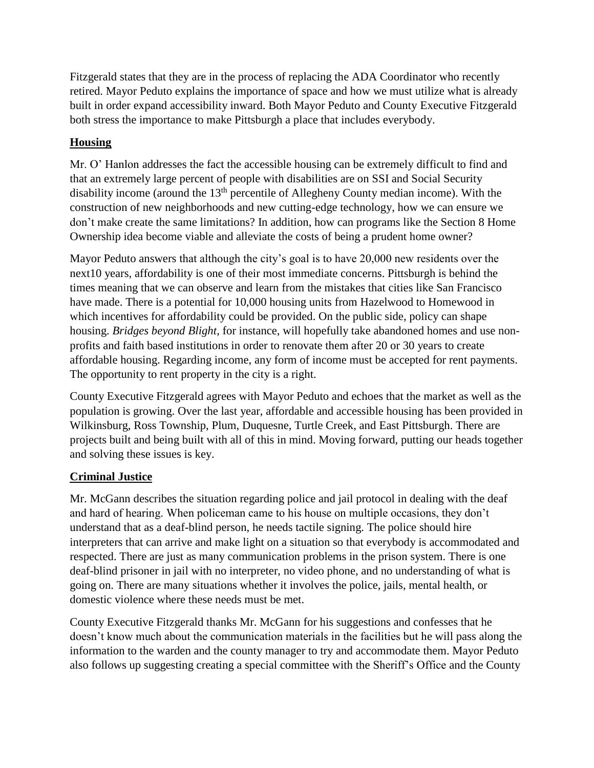Fitzgerald states that they are in the process of replacing the ADA Coordinator who recently retired. Mayor Peduto explains the importance of space and how we must utilize what is already built in order expand accessibility inward. Both Mayor Peduto and County Executive Fitzgerald both stress the importance to make Pittsburgh a place that includes everybody.

# **Housing**

Mr. O' Hanlon addresses the fact the accessible housing can be extremely difficult to find and that an extremely large percent of people with disabilities are on SSI and Social Security disability income (around the  $13<sup>th</sup>$  percentile of Allegheny County median income). With the construction of new neighborhoods and new cutting-edge technology, how we can ensure we don't make create the same limitations? In addition, how can programs like the Section 8 Home Ownership idea become viable and alleviate the costs of being a prudent home owner?

Mayor Peduto answers that although the city's goal is to have 20,000 new residents over the next10 years, affordability is one of their most immediate concerns. Pittsburgh is behind the times meaning that we can observe and learn from the mistakes that cities like San Francisco have made. There is a potential for 10,000 housing units from Hazelwood to Homewood in which incentives for affordability could be provided. On the public side, policy can shape housing. *Bridges beyond Blight*, for instance, will hopefully take abandoned homes and use nonprofits and faith based institutions in order to renovate them after 20 or 30 years to create affordable housing. Regarding income, any form of income must be accepted for rent payments. The opportunity to rent property in the city is a right.

County Executive Fitzgerald agrees with Mayor Peduto and echoes that the market as well as the population is growing. Over the last year, affordable and accessible housing has been provided in Wilkinsburg, Ross Township, Plum, Duquesne, Turtle Creek, and East Pittsburgh. There are projects built and being built with all of this in mind. Moving forward, putting our heads together and solving these issues is key.

# **Criminal Justice**

Mr. McGann describes the situation regarding police and jail protocol in dealing with the deaf and hard of hearing. When policeman came to his house on multiple occasions, they don't understand that as a deaf-blind person, he needs tactile signing. The police should hire interpreters that can arrive and make light on a situation so that everybody is accommodated and respected. There are just as many communication problems in the prison system. There is one deaf-blind prisoner in jail with no interpreter, no video phone, and no understanding of what is going on. There are many situations whether it involves the police, jails, mental health, or domestic violence where these needs must be met.

County Executive Fitzgerald thanks Mr. McGann for his suggestions and confesses that he doesn't know much about the communication materials in the facilities but he will pass along the information to the warden and the county manager to try and accommodate them. Mayor Peduto also follows up suggesting creating a special committee with the Sheriff's Office and the County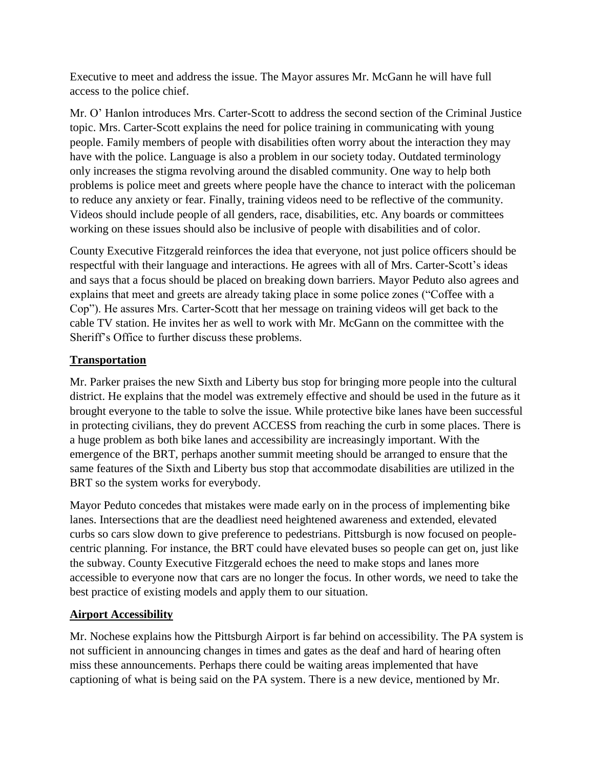Executive to meet and address the issue. The Mayor assures Mr. McGann he will have full access to the police chief.

Mr. O' Hanlon introduces Mrs. Carter-Scott to address the second section of the Criminal Justice topic. Mrs. Carter-Scott explains the need for police training in communicating with young people. Family members of people with disabilities often worry about the interaction they may have with the police. Language is also a problem in our society today. Outdated terminology only increases the stigma revolving around the disabled community. One way to help both problems is police meet and greets where people have the chance to interact with the policeman to reduce any anxiety or fear. Finally, training videos need to be reflective of the community. Videos should include people of all genders, race, disabilities, etc. Any boards or committees working on these issues should also be inclusive of people with disabilities and of color.

County Executive Fitzgerald reinforces the idea that everyone, not just police officers should be respectful with their language and interactions. He agrees with all of Mrs. Carter-Scott's ideas and says that a focus should be placed on breaking down barriers. Mayor Peduto also agrees and explains that meet and greets are already taking place in some police zones ("Coffee with a Cop"). He assures Mrs. Carter-Scott that her message on training videos will get back to the cable TV station. He invites her as well to work with Mr. McGann on the committee with the Sheriff's Office to further discuss these problems.

# **Transportation**

Mr. Parker praises the new Sixth and Liberty bus stop for bringing more people into the cultural district. He explains that the model was extremely effective and should be used in the future as it brought everyone to the table to solve the issue. While protective bike lanes have been successful in protecting civilians, they do prevent ACCESS from reaching the curb in some places. There is a huge problem as both bike lanes and accessibility are increasingly important. With the emergence of the BRT, perhaps another summit meeting should be arranged to ensure that the same features of the Sixth and Liberty bus stop that accommodate disabilities are utilized in the BRT so the system works for everybody.

Mayor Peduto concedes that mistakes were made early on in the process of implementing bike lanes. Intersections that are the deadliest need heightened awareness and extended, elevated curbs so cars slow down to give preference to pedestrians. Pittsburgh is now focused on peoplecentric planning. For instance, the BRT could have elevated buses so people can get on, just like the subway. County Executive Fitzgerald echoes the need to make stops and lanes more accessible to everyone now that cars are no longer the focus. In other words, we need to take the best practice of existing models and apply them to our situation.

# **Airport Accessibility**

Mr. Nochese explains how the Pittsburgh Airport is far behind on accessibility. The PA system is not sufficient in announcing changes in times and gates as the deaf and hard of hearing often miss these announcements. Perhaps there could be waiting areas implemented that have captioning of what is being said on the PA system. There is a new device, mentioned by Mr.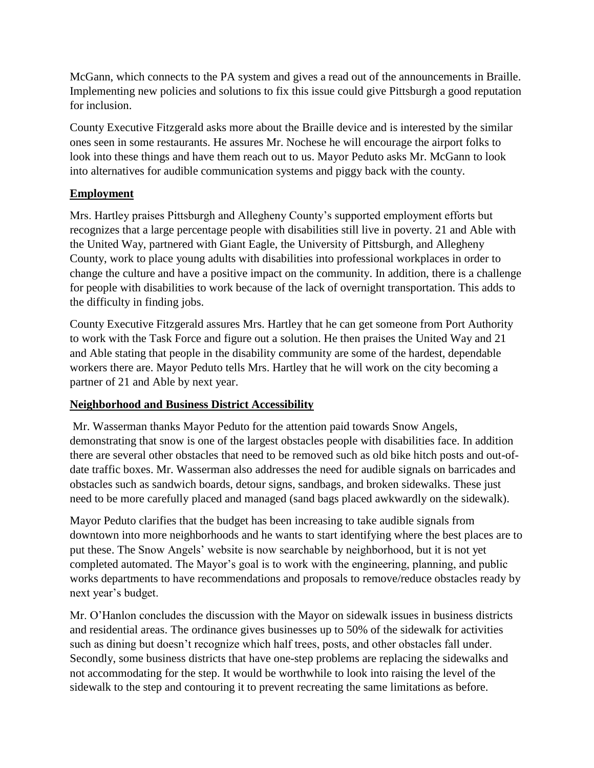McGann, which connects to the PA system and gives a read out of the announcements in Braille. Implementing new policies and solutions to fix this issue could give Pittsburgh a good reputation for inclusion.

County Executive Fitzgerald asks more about the Braille device and is interested by the similar ones seen in some restaurants. He assures Mr. Nochese he will encourage the airport folks to look into these things and have them reach out to us. Mayor Peduto asks Mr. McGann to look into alternatives for audible communication systems and piggy back with the county.

## **Employment**

Mrs. Hartley praises Pittsburgh and Allegheny County's supported employment efforts but recognizes that a large percentage people with disabilities still live in poverty. 21 and Able with the United Way, partnered with Giant Eagle, the University of Pittsburgh, and Allegheny County, work to place young adults with disabilities into professional workplaces in order to change the culture and have a positive impact on the community. In addition, there is a challenge for people with disabilities to work because of the lack of overnight transportation. This adds to the difficulty in finding jobs.

County Executive Fitzgerald assures Mrs. Hartley that he can get someone from Port Authority to work with the Task Force and figure out a solution. He then praises the United Way and 21 and Able stating that people in the disability community are some of the hardest, dependable workers there are. Mayor Peduto tells Mrs. Hartley that he will work on the city becoming a partner of 21 and Able by next year.

## **Neighborhood and Business District Accessibility**

Mr. Wasserman thanks Mayor Peduto for the attention paid towards Snow Angels, demonstrating that snow is one of the largest obstacles people with disabilities face. In addition there are several other obstacles that need to be removed such as old bike hitch posts and out-ofdate traffic boxes. Mr. Wasserman also addresses the need for audible signals on barricades and obstacles such as sandwich boards, detour signs, sandbags, and broken sidewalks. These just need to be more carefully placed and managed (sand bags placed awkwardly on the sidewalk).

Mayor Peduto clarifies that the budget has been increasing to take audible signals from downtown into more neighborhoods and he wants to start identifying where the best places are to put these. The Snow Angels' website is now searchable by neighborhood, but it is not yet completed automated. The Mayor's goal is to work with the engineering, planning, and public works departments to have recommendations and proposals to remove/reduce obstacles ready by next year's budget.

Mr. O'Hanlon concludes the discussion with the Mayor on sidewalk issues in business districts and residential areas. The ordinance gives businesses up to 50% of the sidewalk for activities such as dining but doesn't recognize which half trees, posts, and other obstacles fall under. Secondly, some business districts that have one-step problems are replacing the sidewalks and not accommodating for the step. It would be worthwhile to look into raising the level of the sidewalk to the step and contouring it to prevent recreating the same limitations as before.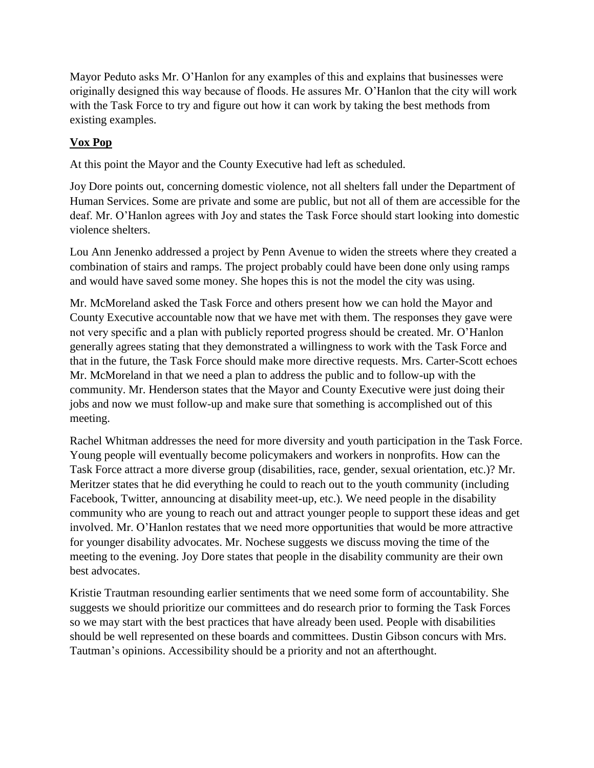Mayor Peduto asks Mr. O'Hanlon for any examples of this and explains that businesses were originally designed this way because of floods. He assures Mr. O'Hanlon that the city will work with the Task Force to try and figure out how it can work by taking the best methods from existing examples.

# **Vox Pop**

At this point the Mayor and the County Executive had left as scheduled.

Joy Dore points out, concerning domestic violence, not all shelters fall under the Department of Human Services. Some are private and some are public, but not all of them are accessible for the deaf. Mr. O'Hanlon agrees with Joy and states the Task Force should start looking into domestic violence shelters.

Lou Ann Jenenko addressed a project by Penn Avenue to widen the streets where they created a combination of stairs and ramps. The project probably could have been done only using ramps and would have saved some money. She hopes this is not the model the city was using.

Mr. McMoreland asked the Task Force and others present how we can hold the Mayor and County Executive accountable now that we have met with them. The responses they gave were not very specific and a plan with publicly reported progress should be created. Mr. O'Hanlon generally agrees stating that they demonstrated a willingness to work with the Task Force and that in the future, the Task Force should make more directive requests. Mrs. Carter-Scott echoes Mr. McMoreland in that we need a plan to address the public and to follow-up with the community. Mr. Henderson states that the Mayor and County Executive were just doing their jobs and now we must follow-up and make sure that something is accomplished out of this meeting.

Rachel Whitman addresses the need for more diversity and youth participation in the Task Force. Young people will eventually become policymakers and workers in nonprofits. How can the Task Force attract a more diverse group (disabilities, race, gender, sexual orientation, etc.)? Mr. Meritzer states that he did everything he could to reach out to the youth community (including Facebook, Twitter, announcing at disability meet-up, etc.). We need people in the disability community who are young to reach out and attract younger people to support these ideas and get involved. Mr. O'Hanlon restates that we need more opportunities that would be more attractive for younger disability advocates. Mr. Nochese suggests we discuss moving the time of the meeting to the evening. Joy Dore states that people in the disability community are their own best advocates.

Kristie Trautman resounding earlier sentiments that we need some form of accountability. She suggests we should prioritize our committees and do research prior to forming the Task Forces so we may start with the best practices that have already been used. People with disabilities should be well represented on these boards and committees. Dustin Gibson concurs with Mrs. Tautman's opinions. Accessibility should be a priority and not an afterthought.